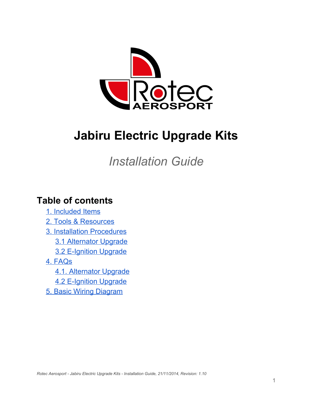

# **Jabiru Electric Upgrade Kits**

*Installation Guide*

## **Table of contents**

- [1. Included Items](#page-1-0)
- [2. Tools & Resources](#page-2-0)
- [3. Installation Procedures](#page-3-0)
	- [3.1 Alternator](#page-3-1) Upgrade
	- [3.2 E-Ignition Upgrade](#page-6-0)
- [4. FAQs](#page-10-0)
	- [4.1. Alternator Upgrade](#page-10-1)
	- [4.2 E-Ignition Upgrade](#page-11-0)
- [5. Basic Wiring Diagram](#page-12-0)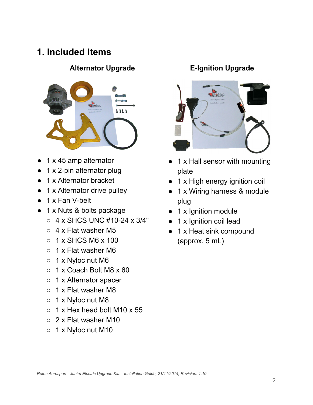## <span id="page-1-0"></span>**1. Included Items**

### **Alternator Upgrade E-Ignition Upgrade**



- 1 x 45 amp alternator
- $1 \times 2$ -pin alternator plug
- 1 x Alternator bracket
- 1 x Alternator drive pulley
- 1 x Fan V-belt
- 1 x Nuts & bolts package
	- $\circ$  4 x SHCS UNC #10-24 x 3/4"
	- $\circ$  4 x Flat washer M5
	- $\circ$  1 x SHCS M6 x 100
	- 1 x Flat washer M6
	- 1 x Nyloc nut M6
	- $\circ$  1 x Coach Bolt M8 x 60
	- 1 x Alternator spacer
	- 1 x Flat washer M8
	- 1 x Nyloc nut M8
	- $\circ$  1 x Hex head bolt M10 x 55
	- 2 x Flat washer M10
	- 1 x Nyloc nut M10



- 1 x Hall sensor with mounting plate
- 1 x High energy ignition coil
- 1 x Wiring harness & module plug
- 1 x Ignition module
- 1 x Ignition coil lead
- 1 x Heat sink compound (approx. 5 mL)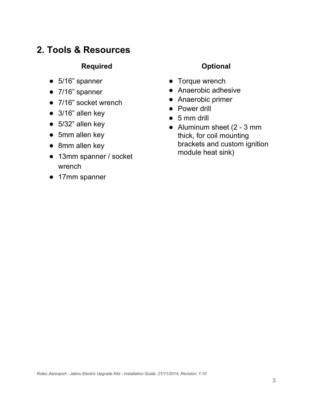## <span id="page-2-0"></span>**2. Tools & Resources**

#### **Required Optional**

- 5/16" spanner
- 7/16" spanner
- 7/16" socket wrench
- 3/16" allen key
- 5/32" allen key
- 5mm allen key
- 8mm allen key
- 13mm spanner / socket wrench
- 17mm spanner

- Torque wrench
- Anaerobic adhesive
- Anaerobic primer
- Power drill
- $5 mm$  drill
- Aluminum sheet (2 3 mm thick, for coil mounting brackets and custom ignition module heat sink)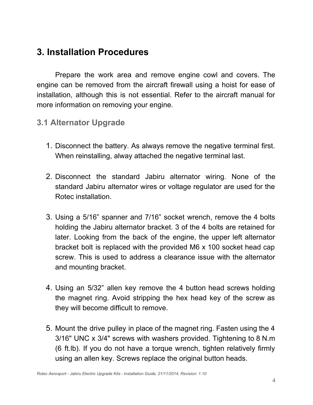## <span id="page-3-0"></span>**3. Installation Procedures**

Prepare the work area and remove engine cowl and covers. The engine can be removed from the aircraft firewall using a hoist for ease of installation, although this is not essential. Refer to the aircraft manual for more information on removing your engine.

## <span id="page-3-1"></span>**3.1 Alternator Upgrade**

- 1. Disconnect the battery. As always remove the negative terminal first. When reinstalling, alway attached the negative terminal last.
- 2. Disconnect the standard Jabiru alternator wiring. None of the standard Jabiru alternator wires or voltage regulator are used for the Rotec installation.
- 3. Using a 5/16" spanner and 7/16" socket wrench, remove the 4 bolts holding the Jabiru alternator bracket. 3 of the 4 bolts are retained for later. Looking from the back of the engine, the upper left alternator bracket bolt is replaced with the provided M6 x 100 socket head cap screw. This is used to address a clearance issue with the alternator and mounting bracket.
- 4. Using an 5/32" allen key remove the 4 button head screws holding the magnet ring. Avoid stripping the hex head key of the screw as they will become difficult to remove.
- 5. Mount the drive pulley in place of the magnet ring. Fasten using the 4 3/16" UNC x 3/4" screws with washers provided. Tightening to 8 N.m (6 ft.lb). If you do not have a torque wrench, tighten relatively firmly using an allen key. Screws replace the original button heads.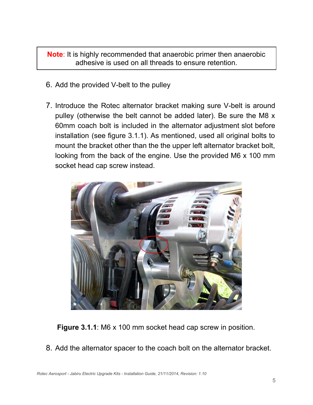**Note**: It is highly recommended that anaerobic primer then anaerobic adhesive is used on all threads to ensure retention.

- 6. Add the provided V-belt to the pulley
- 7. Introduce the Rotec alternator bracket making sure V-belt is around pulley (otherwise the belt cannot be added later). Be sure the M8 x 60mm coach bolt is included in the alternator adjustment slot before installation (see figure 3.1.1). As mentioned, used all original bolts to mount the bracket other than the the upper left alternator bracket bolt, looking from the back of the engine. Use the provided M6 x 100 mm socket head cap screw instead.



**Figure 3.1.1**: M6 x 100 mm socket head cap screw in position.

8. Add the alternator spacer to the coach bolt on the alternator bracket.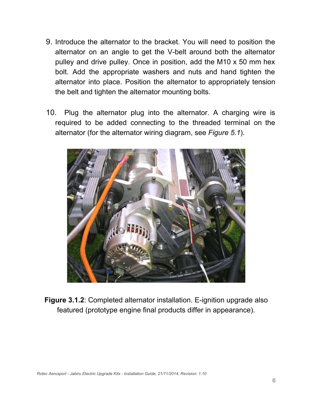- 9. Introduce the alternator to the bracket. You will need to position the alternator on an angle to get the V-belt around both the alternator pulley and drive pulley. Once in position, add the M10 x 50 mm hex bolt. Add the appropriate washers and nuts and hand tighten the alternator into place. Position the alternator to appropriately tension the belt and tighten the alternator mounting bolts.
- 10. Plug the alternator plug into the alternator. A charging wire is required to be added connecting to the threaded terminal on the alternator (for the alternator wiring diagram, see *Figure 5.1*).



**Figure 3.1.2**: Completed alternator installation. E-ignition upgrade also featured (prototype engine final products differ in appearance).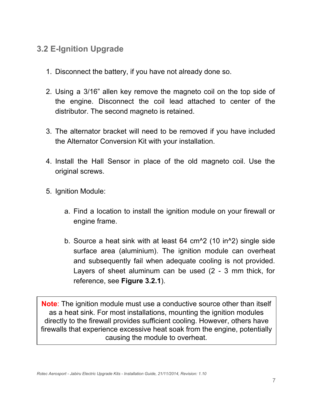## <span id="page-6-0"></span>**3.2 E-Ignition Upgrade**

- 1. Disconnect the battery, if you have not already done so.
- 2. Using a 3/16" allen key remove the magneto coil on the top side of the engine. Disconnect the coil lead attached to center of the distributor. The second magneto is retained.
- 3. The alternator bracket will need to be removed if you have included the Alternator Conversion Kit with your installation.
- 4. Install the Hall Sensor in place of the old magneto coil. Use the original screws.
- 5. Ignition Module:
	- a. Find a location to install the ignition module on your firewall or engine frame.
	- b. Source a heat sink with at least 64 cm^2 (10 in^2) single side surface area (aluminium). The ignition module can overheat and subsequently fail when adequate cooling is not provided. Layers of sheet aluminum can be used (2 - 3 mm thick, for reference, see **Figure 3.2.1**).

**Note**: The ignition module must use a conductive source other than itself as a heat sink. For most installations, mounting the ignition modules directly to the firewall provides sufficient cooling. However, others have firewalls that experience excessive heat soak from the engine, potentially causing the module to overheat.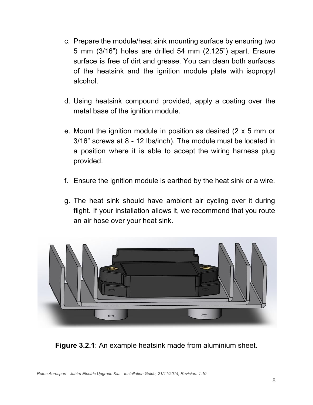- c. Prepare the module/heat sink mounting surface by ensuring two 5 mm (3/16") holes are drilled 54 mm (2.125") apart. Ensure surface is free of dirt and grease. You can clean both surfaces of the heatsink and the ignition module plate with isopropyl alcohol.
- d. Using heatsink compound provided, apply a coating over the metal base of the ignition module.
- e. Mount the ignition module in position as desired (2 x 5 mm or 3/16" screws at 8 - 12 lbs/inch). The module must be located in a position where it is able to accept the wiring harness plug provided.
- f. Ensure the ignition module is earthed by the heat sink or a wire.
- g. The heat sink should have ambient air cycling over it during flight. If your installation allows it, we recommend that you route an air hose over your heat sink.



**Figure 3.2.1**: An example heatsink made from aluminium sheet.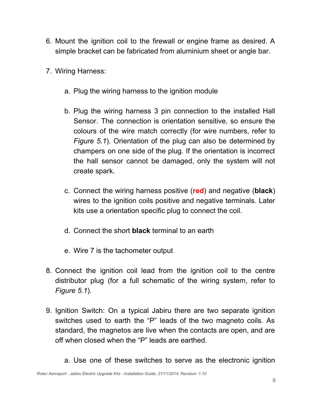- 6. Mount the ignition coil to the firewall or engine frame as desired. A simple bracket can be fabricated from aluminium sheet or angle bar.
- 7. Wiring Harness:
	- a. Plug the wiring harness to the ignition module
	- b. Plug the wiring harness 3 pin connection to the installed Hall Sensor. The connection is orientation sensitive, so ensure the colours of the wire match correctly (for wire numbers, refer to *Figure 5.1*). Orientation of the plug can also be determined by champers on one side of the plug. If the orientation is incorrect the hall sensor cannot be damaged, only the system will not create spark.
	- c. Connect the wiring harness positive (**red**) and negative (**black**) wires to the ignition coils positive and negative terminals. Later kits use a orientation specific plug to connect the coil.
	- d. Connect the short **black** terminal to an earth
	- e. Wire 7 is the tachometer output
- 8. Connect the ignition coil lead from the ignition coil to the centre distributor plug (for a full schematic of the wiring system, refer to *Figure 5.1*).
- 9. Ignition Switch: On a typical Jabiru there are two separate ignition switches used to earth the "P" leads of the two magneto coils. As standard, the magnetos are live when the contacts are open, and are off when closed when the "P" leads are earthed.
	- a. Use one of these switches to serve as the electronic ignition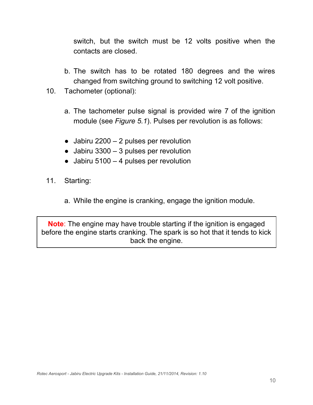switch, but the switch must be 12 volts positive when the contacts are closed.

- b. The switch has to be rotated 180 degrees and the wires changed from switching ground to switching 12 volt positive.
- 10. Tachometer (optional):
	- a. The tachometer pulse signal is provided wire 7 of the ignition module (see *Figure 5.1*). Pulses per revolution is as follows:
	- $\bullet$  Jabiru 2200 2 pulses per revolution
	- $\bullet$  Jabiru 3300 3 pulses per revolution
	- $\bullet$  Jabiru 5100 4 pulses per revolution
- 11. Starting:
	- a. While the engine is cranking, engage the ignition module.

**Note**: The engine may have trouble starting if the ignition is engaged before the engine starts cranking. The spark is so hot that it tends to kick back the engine.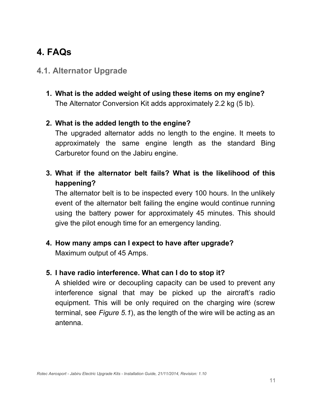## <span id="page-10-0"></span>**4. FAQs**

## <span id="page-10-1"></span>**4.1. Alternator Upgrade**

**1. What is the added weight of using these items on my engine?** The Alternator Conversion Kit adds approximately 2.2 kg (5 lb).

#### **2. What is the added length to the engine?**

The upgraded alternator adds no length to the engine. It meets to approximately the same engine length as the standard Bing Carburetor found on the Jabiru engine.

**3. What if the alternator belt fails? What is the likelihood of this happening?**

The alternator belt is to be inspected every 100 hours. In the unlikely event of the alternator belt failing the engine would continue running using the battery power for approximately 45 minutes. This should give the pilot enough time for an emergency landing.

**4. How many amps can I expect to have after upgrade?** Maximum output of 45 Amps.

#### **5. I have radio interference. What can I do to stop it?**

A shielded wire or decoupling capacity can be used to prevent any interference signal that may be picked up the aircraft's radio equipment. This will be only required on the charging wire (screw terminal, see *Figure 5.1*), as the length of the wire will be acting as an antenna.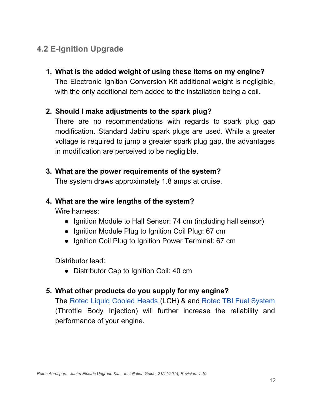## <span id="page-11-0"></span>**4.2 E-Ignition Upgrade**

**1. What is the added weight of using these items on my engine?** The Electronic Ignition Conversion Kit additional weight is negligible, with the only additional item added to the installation being a coil.

#### **2. Should I make adjustments to the spark plug?**

There are no recommendations with regards to spark plug gap modification. Standard Jabiru spark plugs are used. While a greater voltage is required to jump a greater spark plug gap, the advantages in modification are perceived to be negligible.

#### **3. What are the power requirements of the system?**

The system draws approximately 1.8 amps at cruise.

#### **4. What are the wire lengths of the system?**

Wire harness:

- Ignition Module to Hall Sensor: 74 cm (including hall sensor)
- Ignition Module Plug to Ignition Coil Plug: 67 cm
- Ignition Coil Plug to Ignition Power Terminal: 67 cm

Distributor lead:

● Distributor Cap to Ignition Coil: 40 cm

### **5. What other products do you supply for my engine?**

The Rotec Liquid [Cooled](http://www.rotecaerosport.com/products/jab/lch/) Heads (LCH) & and Rotec TBI Fuel [System](http://www.rotecaerosport.com/products/tbi/) (Throttle Body Injection) will further increase the reliability and performance of your engine.